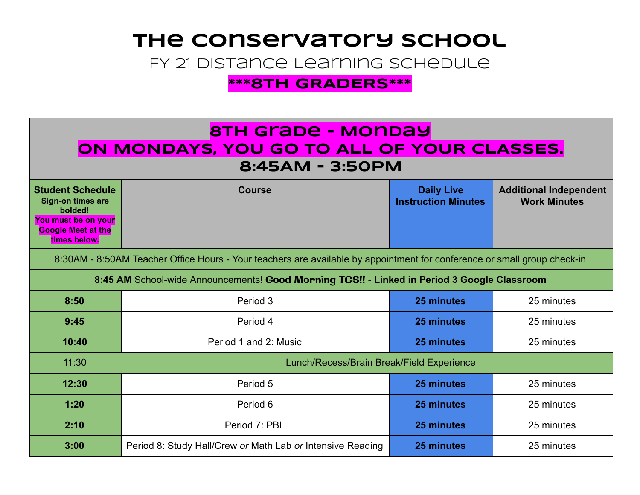### **The Conservatory School**

FY 21 Distance Learning Schedule

**\*\*\*8TH GRADERS\*\*\*** 

### **8TH Grade - Monday oN MONDAYS, YOU GO TO ALL OF YOUR CLASSES. 8:45AM - 3:50PM**

| <b>Student Schedule</b><br><b>Sign-on times are</b><br>bolded!<br>You must be on your<br><b>Google Meet at the</b><br>times below. | <b>Course</b>                             | <b>Daily Live</b><br><b>Instruction Minutes</b> | <b>Additional Independent</b><br><b>Work Minutes</b> |  |  |
|------------------------------------------------------------------------------------------------------------------------------------|-------------------------------------------|-------------------------------------------------|------------------------------------------------------|--|--|
| 8:30AM - 8:50AM Teacher Office Hours - Your teachers are available by appointment for conference or small group check-in           |                                           |                                                 |                                                      |  |  |
| 8:45 AM School-wide Announcements! Good Morning TCS!! - Linked in Period 3 Google Classroom                                        |                                           |                                                 |                                                      |  |  |
| 8:50                                                                                                                               | Period 3                                  | 25 minutes                                      | 25 minutes                                           |  |  |
| 9:45                                                                                                                               | Period 4                                  | 25 minutes                                      | 25 minutes                                           |  |  |
| 10:40                                                                                                                              | Period 1 and 2: Music                     | 25 minutes                                      | 25 minutes                                           |  |  |
| 11:30                                                                                                                              | Lunch/Recess/Brain Break/Field Experience |                                                 |                                                      |  |  |
| 12:30                                                                                                                              | Period 5                                  | 25 minutes                                      | 25 minutes                                           |  |  |
| 1:20                                                                                                                               | Period 6                                  | 25 minutes                                      | 25 minutes                                           |  |  |
| 2:10                                                                                                                               | Period 7: PBL                             | 25 minutes                                      | 25 minutes                                           |  |  |

**3:00** Period 8: Study Hall/Crew *or* Math Lab *or* Intensive Reading **25 minutes** 25 minutes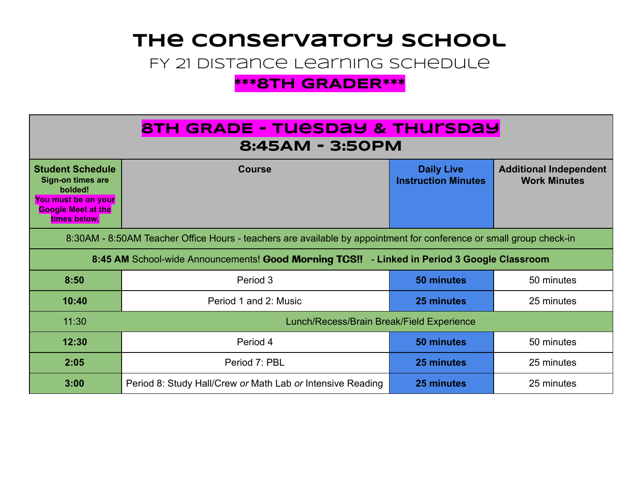# **The Conservatory School**

FY 21 Distance Learning Schedule

#### **\*\*\*8TH GRADER\*\*\***

| <b>8TH GRADE - TUESDAY &amp; THUISDAY</b><br>8:45AM - 3:50PM                                                                       |                                                            |                                                 |                                                      |  |  |
|------------------------------------------------------------------------------------------------------------------------------------|------------------------------------------------------------|-------------------------------------------------|------------------------------------------------------|--|--|
| <b>Student Schedule</b><br><b>Sign-on times are</b><br>bolded!<br>You must be on your<br><b>Google Meet at the</b><br>times below. | <b>Course</b>                                              | <b>Daily Live</b><br><b>Instruction Minutes</b> | <b>Additional Independent</b><br><b>Work Minutes</b> |  |  |
| 8:30AM - 8:50AM Teacher Office Hours - teachers are available by appointment for conference or small group check-in                |                                                            |                                                 |                                                      |  |  |
| 8:45 AM School-wide Announcements! Good Morning TCS!! - Linked in Period 3 Google Classroom                                        |                                                            |                                                 |                                                      |  |  |
| 8:50                                                                                                                               | Period 3                                                   | 50 minutes                                      | 50 minutes                                           |  |  |
| 10:40                                                                                                                              | Period 1 and 2: Music                                      | 25 minutes                                      | 25 minutes                                           |  |  |
| 11:30                                                                                                                              | Lunch/Recess/Brain Break/Field Experience                  |                                                 |                                                      |  |  |
| 12:30                                                                                                                              | Period 4                                                   | 50 minutes                                      | 50 minutes                                           |  |  |
| 2:05                                                                                                                               | Period 7: PBL                                              | 25 minutes                                      | 25 minutes                                           |  |  |
| 3:00                                                                                                                               | Period 8: Study Hall/Crew or Math Lab or Intensive Reading | 25 minutes                                      | 25 minutes                                           |  |  |